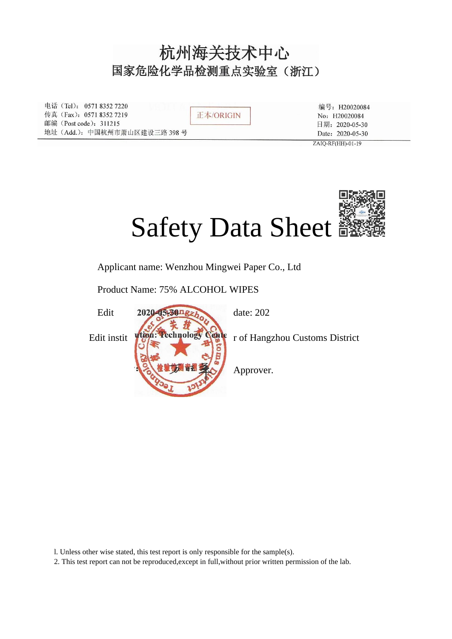## 杭州海关技术中心 国家危险化学品检测重点实验室(浙江)

电话 (Tel): 0571 8352 7220 传真 (Fax): 0571 8352 7219 邮编 (Post code): 311215 地址 (Add.): 中国杭州市萧山区建设三路 398号

正本/ORIGIN

编号: H20020084 No: H20020084 日期: 2020-05-30 Date: 2020-05-30 ZAIQ-RF(HH)-01-19



Applicant name: Wenzhou Mingwei Paper Co., Ltd

Product Name: 75% ALCOHOL WIPES



Edit  $2020 - 05 + 30$  ng  $\epsilon$  date: 202

Approver.

l. Unless other wise stated, this test report is only responsible for the sample(s).

2. This test report can not be reproduced,except in full,without prior written permission of the lab.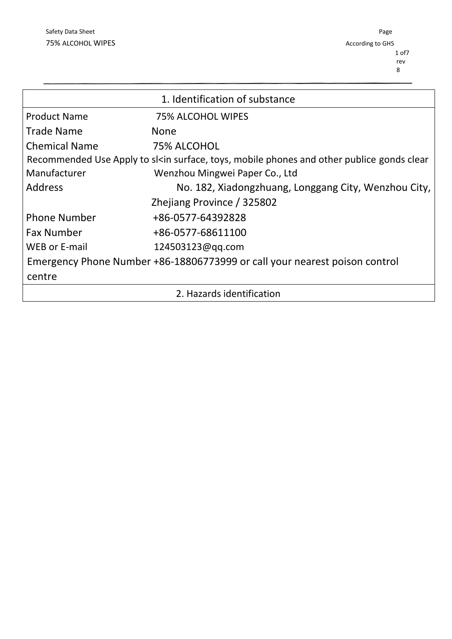| 1. Identification of substance                                                           |                                                      |  |
|------------------------------------------------------------------------------------------|------------------------------------------------------|--|
| <b>Product Name</b>                                                                      | <b>75% ALCOHOL WIPES</b>                             |  |
| <b>Trade Name</b>                                                                        | <b>None</b>                                          |  |
| <b>Chemical Name</b>                                                                     | 75% ALCOHOL                                          |  |
| Recommended Use Apply to skin surface, toys, mobile phones and other publice gonds clear |                                                      |  |
| Manufacturer                                                                             | Wenzhou Mingwei Paper Co., Ltd                       |  |
| <b>Address</b>                                                                           | No. 182, Xiadongzhuang, Longgang City, Wenzhou City, |  |
| Zhejiang Province / 325802                                                               |                                                      |  |
| <b>Phone Number</b>                                                                      | +86-0577-64392828                                    |  |
| <b>Fax Number</b>                                                                        | +86-0577-68611100                                    |  |
| <b>WEB or E-mail</b>                                                                     | 124503123@qq.com                                     |  |
| Emergency Phone Number +86-18806773999 or call your nearest poison control               |                                                      |  |
| centre                                                                                   |                                                      |  |
| 2. Hazards identification                                                                |                                                      |  |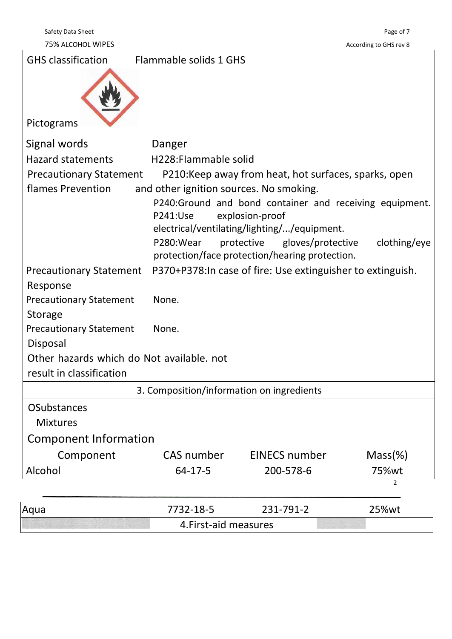Safety Data Sheet Page of 7

| <b>GHS</b> classification                  | Flammable solids 1 GHS                    |                                                                            |              |
|--------------------------------------------|-------------------------------------------|----------------------------------------------------------------------------|--------------|
|                                            |                                           |                                                                            |              |
| Pictograms                                 |                                           |                                                                            |              |
| Signal words                               | Danger                                    |                                                                            |              |
| <b>Hazard statements</b>                   | H228: Flammable solid                     |                                                                            |              |
| <b>Precautionary Statement</b>             |                                           | P210: Keep away from heat, hot surfaces, sparks, open                      |              |
| flames Prevention                          | and other ignition sources. No smoking.   |                                                                            |              |
|                                            | P241:Use                                  | P240:Ground and bond container and receiving equipment.<br>explosion-proof |              |
|                                            |                                           | electrical/ventilating/lighting//equipment.                                |              |
|                                            | P280:Wear                                 | protective gloves/protective                                               | clothing/eye |
|                                            |                                           | protection/face protection/hearing protection.                             |              |
| <b>Precautionary Statement</b>             |                                           | P370+P378:In case of fire: Use extinguisher to extinguish.                 |              |
| Response                                   |                                           |                                                                            |              |
| <b>Precautionary Statement</b>             | None.                                     |                                                                            |              |
| Storage                                    |                                           |                                                                            |              |
| <b>Precautionary Statement</b><br>Disposal | None.                                     |                                                                            |              |
| Other hazards which do Not available. not  |                                           |                                                                            |              |
| result in classification                   |                                           |                                                                            |              |
|                                            |                                           |                                                                            |              |
|                                            | 3. Composition/information on ingredients |                                                                            |              |
| <b>OSubstances</b>                         |                                           |                                                                            |              |
| <b>Mixtures</b>                            |                                           |                                                                            |              |
| <b>Component Information</b>               |                                           |                                                                            |              |
| Component                                  | CAS number                                | <b>EINECS number</b>                                                       | $Mass(\%)$   |
| Alcohol                                    | 64-17-5                                   | 200-578-6                                                                  | 75%wt<br>2   |
| Aqua                                       | 7732-18-5                                 | 231-791-2                                                                  | 25%wt        |
|                                            | 4. First-aid measures                     |                                                                            |              |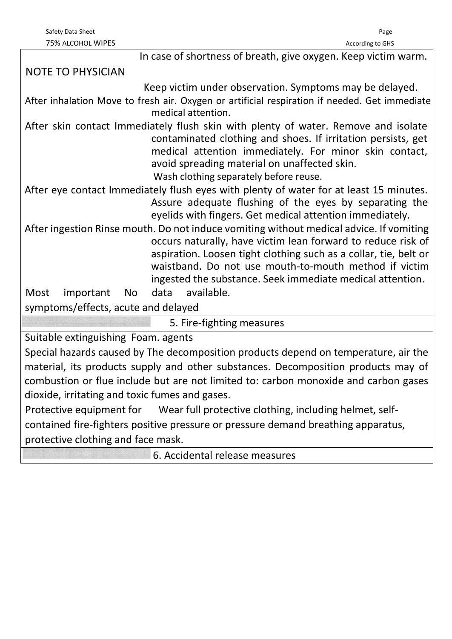Safety Data Sheet Page

| 75% ALCOHOL WIPES                                                                                                                                                                                                                                                                                                                                                                                    | According to GHS                                                                                                                                                                                                                                                                                                                                  |  |
|------------------------------------------------------------------------------------------------------------------------------------------------------------------------------------------------------------------------------------------------------------------------------------------------------------------------------------------------------------------------------------------------------|---------------------------------------------------------------------------------------------------------------------------------------------------------------------------------------------------------------------------------------------------------------------------------------------------------------------------------------------------|--|
|                                                                                                                                                                                                                                                                                                                                                                                                      | In case of shortness of breath, give oxygen. Keep victim warm.                                                                                                                                                                                                                                                                                    |  |
| <b>NOTE TO PHYSICIAN</b>                                                                                                                                                                                                                                                                                                                                                                             |                                                                                                                                                                                                                                                                                                                                                   |  |
|                                                                                                                                                                                                                                                                                                                                                                                                      | Keep victim under observation. Symptoms may be delayed.                                                                                                                                                                                                                                                                                           |  |
|                                                                                                                                                                                                                                                                                                                                                                                                      | After inhalation Move to fresh air. Oxygen or artificial respiration if needed. Get immediate<br>medical attention.                                                                                                                                                                                                                               |  |
|                                                                                                                                                                                                                                                                                                                                                                                                      | After skin contact Immediately flush skin with plenty of water. Remove and isolate<br>contaminated clothing and shoes. If irritation persists, get<br>medical attention immediately. For minor skin contact,<br>avoid spreading material on unaffected skin.<br>Wash clothing separately before reuse.                                            |  |
|                                                                                                                                                                                                                                                                                                                                                                                                      | After eye contact Immediately flush eyes with plenty of water for at least 15 minutes.<br>Assure adequate flushing of the eyes by separating the<br>eyelids with fingers. Get medical attention immediately.                                                                                                                                      |  |
|                                                                                                                                                                                                                                                                                                                                                                                                      | After ingestion Rinse mouth. Do not induce vomiting without medical advice. If vomiting<br>occurs naturally, have victim lean forward to reduce risk of<br>aspiration. Loosen tight clothing such as a collar, tie, belt or<br>waistband. Do not use mouth-to-mouth method if victim<br>ingested the substance. Seek immediate medical attention. |  |
| Most<br>important<br>No                                                                                                                                                                                                                                                                                                                                                                              | available.<br>data                                                                                                                                                                                                                                                                                                                                |  |
| symptoms/effects, acute and delayed                                                                                                                                                                                                                                                                                                                                                                  |                                                                                                                                                                                                                                                                                                                                                   |  |
|                                                                                                                                                                                                                                                                                                                                                                                                      | 5. Fire-fighting measures                                                                                                                                                                                                                                                                                                                         |  |
| Suitable extinguishing Foam. agents                                                                                                                                                                                                                                                                                                                                                                  |                                                                                                                                                                                                                                                                                                                                                   |  |
| Special hazards caused by The decomposition products depend on temperature, air the<br>material, its products supply and other substances. Decomposition products may of<br>combustion or flue include but are not limited to: carbon monoxide and carbon gases<br>dioxide, irritating and toxic fumes and gases.<br>Protective equipment for Wear full protective clothing, including helmet, self- |                                                                                                                                                                                                                                                                                                                                                   |  |
| protective clothing and face mask.                                                                                                                                                                                                                                                                                                                                                                   | contained fire-fighters positive pressure or pressure demand breathing apparatus,                                                                                                                                                                                                                                                                 |  |
|                                                                                                                                                                                                                                                                                                                                                                                                      | 6. Accidental release measures                                                                                                                                                                                                                                                                                                                    |  |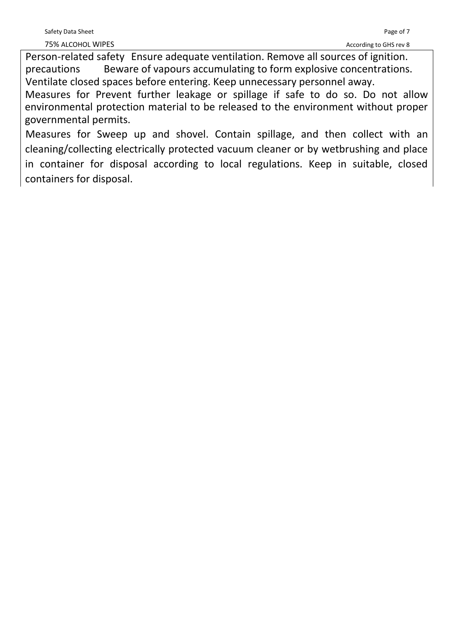Person-related safety Ensure adequate ventilation. Remove all sources of ignition. precautions Beware of vapours accumulating to form explosive concentrations. Ventilate closed spaces before entering. Keep unnecessary personnel away.

Measures for Prevent further leakage or spillage if safe to do so. Do not allow environmental protection material to be released to the environment without proper governmental permits.

Measures for Sweep up and shovel. Contain spillage, and then collect with an cleaning/collecting electrically protected vacuum cleaner or by wetbrushing and place in container for disposal according to local regulations. Keep in suitable, closed containers for disposal.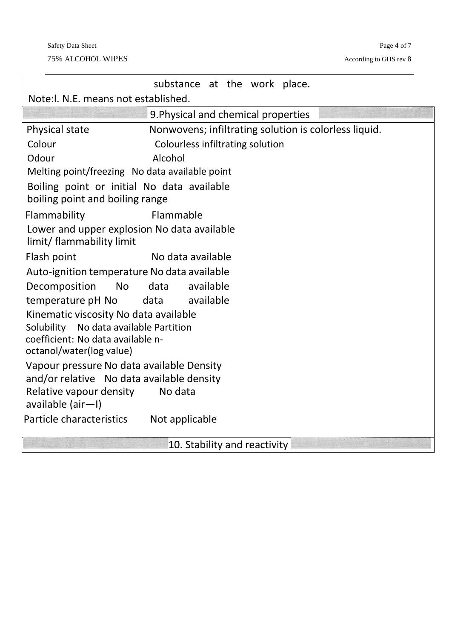|                                                                               | substance at the work place.                          |  |
|-------------------------------------------------------------------------------|-------------------------------------------------------|--|
| Note: I. N.E. means not established.                                          |                                                       |  |
|                                                                               | 9. Physical and chemical properties                   |  |
| <b>Physical state</b>                                                         | Nonwovens; infiltrating solution is colorless liquid. |  |
| Colour                                                                        | Colourless infiltrating solution                      |  |
| Odour                                                                         | Alcohol                                               |  |
| Melting point/freezing No data available point                                |                                                       |  |
| Boiling point or initial No data available<br>boiling point and boiling range |                                                       |  |
| Flammability                                                                  | Flammable                                             |  |
| Lower and upper explosion No data available                                   |                                                       |  |
| limit/ flammability limit                                                     |                                                       |  |
| Flash point                                                                   | No data available                                     |  |
| Auto-ignition temperature No data available                                   |                                                       |  |
| <b>No</b><br>Decomposition                                                    | data<br>available                                     |  |
| temperature pH No                                                             | available<br>data                                     |  |
| Kinematic viscosity No data available                                         |                                                       |  |
| No data available Partition<br>Solubility                                     |                                                       |  |
| coefficient: No data available n-<br>octanol/water(log value)                 |                                                       |  |
| Vapour pressure No data available Density                                     |                                                       |  |
| and/or relative No data available density                                     |                                                       |  |
| Relative vapour density                                                       | No data                                               |  |
| available (air-I)                                                             |                                                       |  |
| Particle characteristics                                                      | Not applicable                                        |  |
|                                                                               | 10. Stability and reactivity                          |  |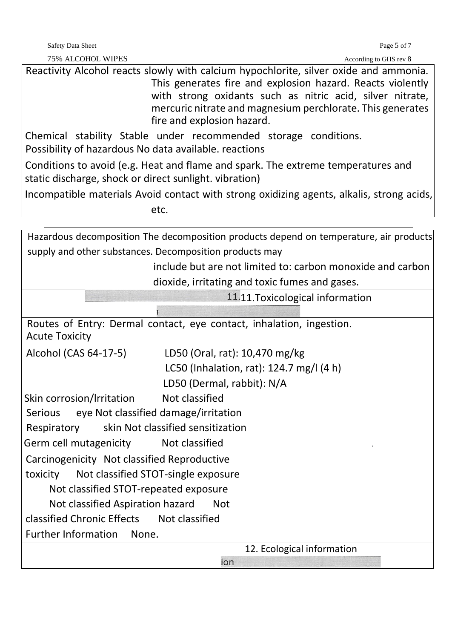75% ALCOHOL WIPES **According to GHS** rev 8

Reactivity Alcohol reacts slowly with calcium hypochlorite, silver oxide and ammonia. This generates fire and explosion hazard. Reacts violently with strong oxidants such as nitric acid, silver nitrate, mercuric nitrate and magnesium perchlorate. This generates fire and explosion hazard.

Chemical stability Stable under recommended storage conditions. Possibility of hazardous No data available. reactions

Conditions to avoid (e.g. Heat and flame and spark. The extreme temperatures and static discharge, shock or direct sunlight. vibration)

Incompatible materials Avoid contact with strong oxidizing agents, alkalis, strong acids, etc.

Hazardous decomposition The decomposition products depend on temperature, air products supply and other substances. Decomposition products may

> include but are not limited to: carbon monoxide and carbon dioxide, irritating and toxic fumes and gases.

| 11.11. Toxicological information |  |
|----------------------------------|--|
|----------------------------------|--|

Routes of Entry: Dermal contact, eye contact, inhalation, ingestion. Acute Toxicity Alcohol (CAS 64-17-5) LD50 (Oral, rat): 10,470 mg/kg LC50 (Inhalation, rat): 124.7 mg/l (4 h) LD50 (Dermal, rabbit): N/A Skin corrosion/Irritation Not classified Serious eye Not classified damage/irritation Respiratory skin Not classified sensitization Germ cell mutagenicity Mot classified Carcinogenicity Not classified Reproductive toxicity Not classified STOT-single exposure Not classified STOT-repeated exposure Not classified Aspiration hazard Not classified Chronic Effects Not classified Further Information None. 12. Ecological informationion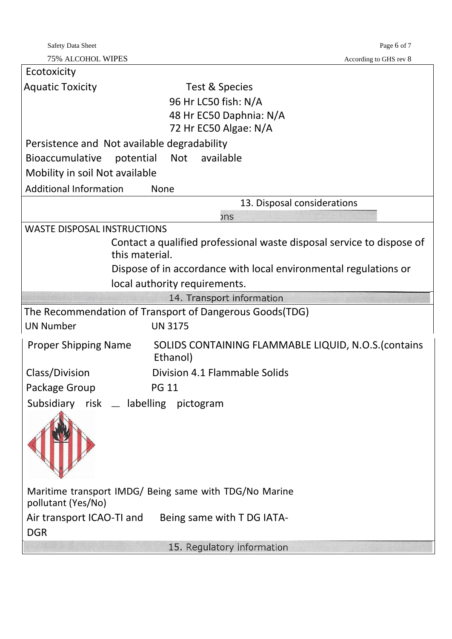| <b>Safety Data Sheet</b>                    |                                                                       | Page 6 of 7            |
|---------------------------------------------|-----------------------------------------------------------------------|------------------------|
| <b>75% ALCOHOL WIPES</b>                    |                                                                       | According to GHS rev 8 |
| Ecotoxicity                                 |                                                                       |                        |
| <b>Aquatic Toxicity</b>                     | Test & Species                                                        |                        |
|                                             | 96 Hr LC50 fish: N/A                                                  |                        |
|                                             | 48 Hr EC50 Daphnia: N/A                                               |                        |
|                                             | 72 Hr EC50 Algae: N/A                                                 |                        |
| Persistence and Not available degradability |                                                                       |                        |
| Bioaccumulative<br>potential                | Not<br>available                                                      |                        |
| Mobility in soil Not available              |                                                                       |                        |
| <b>Additional Information</b>               | None                                                                  |                        |
|                                             | 13. Disposal considerations                                           |                        |
|                                             | ons                                                                   |                        |
| <b>WASTE DISPOSAL INSTRUCTIONS</b>          |                                                                       |                        |
|                                             | Contact a qualified professional waste disposal service to dispose of |                        |
| this material.                              |                                                                       |                        |
|                                             | Dispose of in accordance with local environmental regulations or      |                        |
|                                             | local authority requirements.                                         |                        |
|                                             | 14. Transport information                                             |                        |
|                                             | The Recommendation of Transport of Dangerous Goods(TDG)               |                        |
| <b>UN Number</b>                            | <b>UN 3175</b>                                                        |                        |
| <b>Proper Shipping Name</b>                 | SOLIDS CONTAINING FLAMMABLE LIQUID, N.O.S. (contains<br>Ethanol)      |                        |
| Class/Division                              | Division 4.1 Flammable Solids                                         |                        |
| Package Group                               | <b>PG 11</b>                                                          |                        |
| Subsidiary risk _ labelling                 | pictogram                                                             |                        |
|                                             |                                                                       |                        |
| pollutant (Yes/No)                          | Maritime transport IMDG/ Being same with TDG/No Marine                |                        |
| Air transport ICAO-TI and<br><b>DGR</b>     | Being same with T DG IATA-                                            |                        |
|                                             | 15. Regulatory information                                            |                        |
|                                             |                                                                       |                        |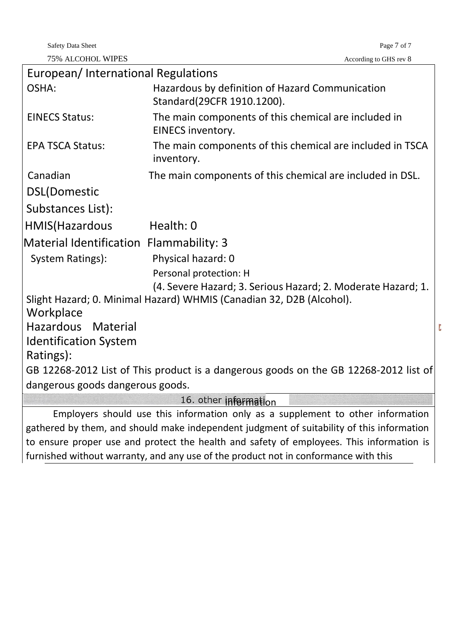| <b>Safety Data Sheet</b> |  |  |
|--------------------------|--|--|
|--------------------------|--|--|

75% ALCOHOL WIPES According to GHS rev 8

ſ,

| European/International Regulations        |                                                                                           |
|-------------------------------------------|-------------------------------------------------------------------------------------------|
| OSHA:                                     | Hazardous by definition of Hazard Communication<br>Standard(29CFR 1910.1200).             |
| <b>EINECS Status:</b>                     | The main components of this chemical are included in<br>EINECS inventory.                 |
| <b>EPA TSCA Status:</b>                   | The main components of this chemical are included in TSCA<br>inventory.                   |
| Canadian                                  | The main components of this chemical are included in DSL.                                 |
| <b>DSL(Domestic</b>                       |                                                                                           |
| Substances List):                         |                                                                                           |
| HMIS(Hazardous                            | Health: 0                                                                                 |
| Material Identification Flammability: 3   |                                                                                           |
| System Ratings):                          | Physical hazard: 0                                                                        |
|                                           | Personal protection: H                                                                    |
|                                           | (4. Severe Hazard; 3. Serious Hazard; 2. Moderate Hazard; 1.                              |
|                                           | Slight Hazard; O. Minimal Hazard) WHMIS (Canadian 32, D2B (Alcohol).                      |
| Workplace<br><b>Hazardous</b><br>Material |                                                                                           |
|                                           |                                                                                           |
| <b>Identification System</b><br>Ratings): |                                                                                           |
|                                           | GB 12268-2012 List of This product is a dangerous goods on the GB 12268-2012 list of      |
| dangerous goods dangerous goods.          |                                                                                           |
|                                           | 16. other information                                                                     |
|                                           | Employers should use this information only as a supplement to other information           |
|                                           | gathered by them, and should make independent judgment of suitability of this information |
|                                           | to ensure proper use and protect the health and safety of employees. This information is  |

furnished without warranty, and any use of the product not in conformance with this